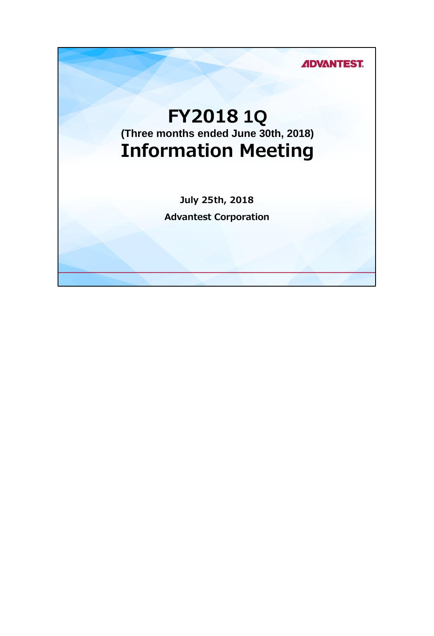**ADVANTEST.** 

## **FY2018 1Q (Three months ended June 30th, 2018) Information Meeting**

**July 25th, 2018 Advantest Corporation**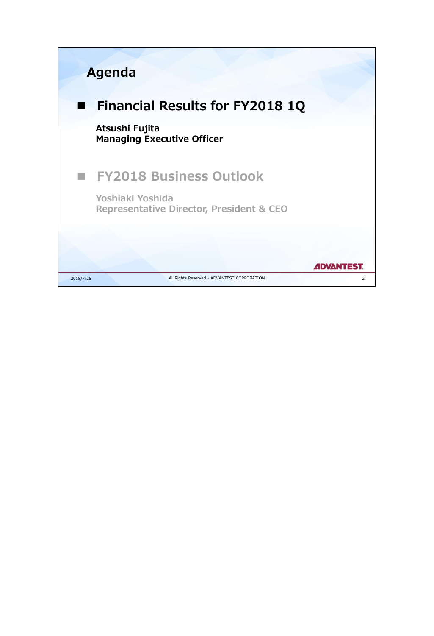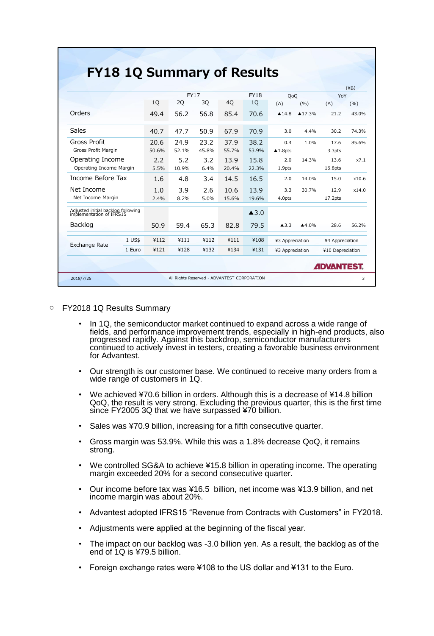|                                                                |       |             |       |       |                      |                       |                   |                     | $(\angle$ B) |
|----------------------------------------------------------------|-------|-------------|-------|-------|----------------------|-----------------------|-------------------|---------------------|--------------|
|                                                                |       | <b>FY17</b> |       |       | <b>FY18</b>          | OoO                   |                   | YoY                 |              |
|                                                                | 10    | 20          | 30    | 40    | 10                   | $(\Delta)$            | (9/6)             | $(\Delta)$          | (9/6)        |
| Orders                                                         | 49.4  | 56.2        | 56.8  | 85.4  | 70.6                 | $\blacktriangle$ 14.8 | $\triangle$ 17.3% | 21.2                | 43.0%        |
| Sales                                                          | 40.7  | 47.7        | 50.9  | 67.9  | 70.9                 | 3.0                   | 4.4%              | 30.2                | 74.3%        |
| Gross Profit                                                   | 20.6  | 24.9        | 23.2  | 37.9  | 38.2                 | 0.4                   | 1.0%              | 176                 | 85.6%        |
| Gross Profit Margin                                            | 50.6% | 52.1%       | 45.8% | 55.7% | 53.9%                | $\triangle$ 1.8pts    |                   | 3.3pts              |              |
| Operating Income                                               | 2.2   | 5.2         | 3.2   | 13.9  | 15.8                 | 2.0                   | 14.3%             | 13.6                | x7.1         |
| Operating Income Margin                                        | 5.5%  | 10.9%       | 6.4%  | 20.4% | 22.3%                | 1.9pts                |                   | 16.8pts             |              |
| Income Before Tax                                              | 1.6   | 4.8         | 3.4   | 14.5  | 16.5                 | 2.0                   | 14.0%             | 15.0                | x10.6        |
| Net Income                                                     | 1.0   | 3.9         | 2.6   | 10.6  | 13.9                 | 3.3                   | 30.7%             | 12.9                | x14.0        |
| Net Income Margin                                              | 2.4%  | 8.2%        | 5.0%  | 15.6% | 19.6%                | 4.0pts                |                   | 17.2 <sub>pts</sub> |              |
| Adjusted initial backlog following<br>implementation of IFRS15 |       |             |       |       | $\blacktriangle$ 3.0 |                       |                   |                     |              |
| Backlog                                                        | 50.9  | 59.4        | 65.3  | 82.8  | 79.5                 | $\blacktriangle$ 3.3  | ▲4.0%             | 28.6                | 56.2%        |
| 1 US\$<br><b>Exchange Rate</b>                                 | ¥112  | ¥111        | ¥112  | ¥111  | ¥108                 | ¥3 Appreciation       |                   | ¥4 Appreciation     |              |
| 1 Euro                                                         | ¥121  | ¥128        | ¥132  | ¥134  | ¥131                 | ¥3 Appreciation       |                   | ¥10 Depreciation    |              |

- FY2018 1Q Results Summary
	- In 1Q, the semiconductor market continued to expand across a wide range of fields, and performance improvement trends, especially in high-end products, also progressed rapidly. Against this backdrop, semiconductor manufacturers continued to actively invest in testers, creating a favorable business environment for Advantest.
	- Our strength is our customer base. We continued to receive many orders from a wide range of customers in 1Q.
	- We achieved ¥70.6 billion in orders. Although this is a decrease of ¥14.8 billion QoQ, the result is very strong. Excluding the previous quarter, this is the first time since FY2005 3Q that we have surpassed ¥70 billion.
	- Sales was ¥70.9 billion, increasing for a fifth consecutive quarter.
	- Gross margin was 53.9%. While this was a 1.8% decrease QoQ, it remains strong.
	- We controlled SG&A to achieve ¥15.8 billion in operating income. The operating margin exceeded 20% for a second consecutive quarter.
	- Our income before tax was ¥16.5 billion, net income was ¥13.9 billion, and net income margin was about 20%.
	- Advantest adopted IFRS15 "Revenue from Contracts with Customers" in FY2018.
	- Adjustments were applied at the beginning of the fiscal year.
	- The impact on our backlog was -3.0 billion yen. As a result, the backlog as of the end of 1Q is ¥79.5 billion.
	- Foreign exchange rates were ¥108 to the US dollar and ¥131 to the Euro.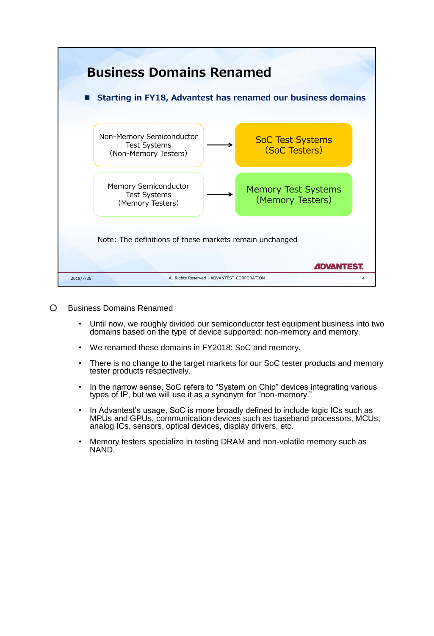

- Business Domains Renamed
	- Until now, we roughly divided our semiconductor test equipment business into two domains based on the type of device supported: non-memory and memory.
	- We renamed these domains in FY2018: SoC and memory.
	- There is no change to the target markets for our SoC tester products and memory tester products respectively.
	- In the narrow sense, SoC refers to "System on Chip" devices integrating various types of IP, but we will use it as a synonym for "non-memory."
	- In Advantest's usage, SoC is more broadly defined to include logic ICs such as MPUs and GPUs, communication devices such as baseband processors, MCUs, analog ICs, sensors, optical devices, display drivers, etc.
	- Memory testers specialize in testing DRAM and non-volatile memory such as NAND.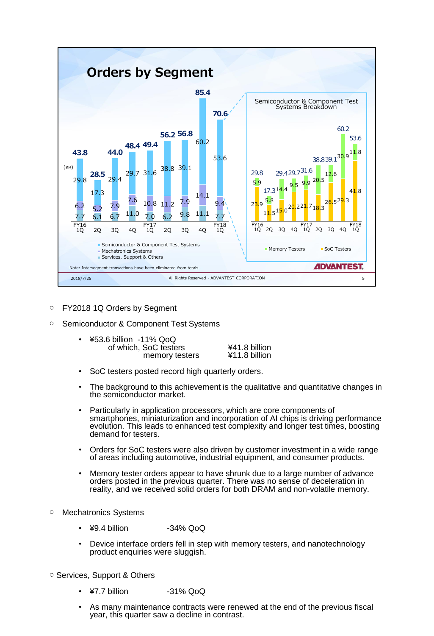

○ FY2018 1Q Orders by Segment

## ○ Semiconductor & Component Test Systems

| • ¥53.6 billion -11% QoQ |               |
|--------------------------|---------------|
| of which, SoC testers    | ¥41.8 billion |
| memory testers           | ¥11.8 billion |

- SoC testers posted record high quarterly orders.
- The background to this achievement is the qualitative and quantitative changes in the semiconductor market.
- Particularly in application processors, which are core components of smartphones, miniaturization and incorporation of AI chips is driving performance evolution. This leads to enhanced test complexity and longer test times, boosting demand for testers.
- Orders for SoC testers were also driven by customer investment in a wide range of areas including automotive, industrial equipment, and consumer products.
- Memory tester orders appear to have shrunk due to a large number of advance orders posted in the previous quarter. There was no sense of deceleration in reality, and we received solid orders for both DRAM and non-volatile memory.
- Mechatronics Systems
	- ¥9.4 billion -34% QoQ
	- Device interface orders fell in step with memory testers, and nanotechnology product enquiries were sluggish.
- Services, Support & Others
	- ¥7.7 billion -31% QoQ
	- As many maintenance contracts were renewed at the end of the previous fiscal year, this quarter saw a decline in contrast.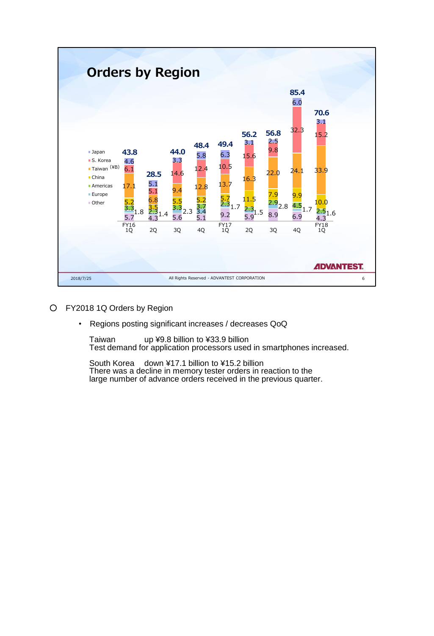

- FY2018 1Q Orders by Region
	- Regions posting significant increases / decreases QoQ

Taiwan up ¥9.8 billion to ¥33.9 billion Test demand for application processors used in smartphones increased.

South Korea down ¥17.1 billion to ¥15.2 billion There was a decline in memory tester orders in reaction to the large number of advance orders received in the previous quarter.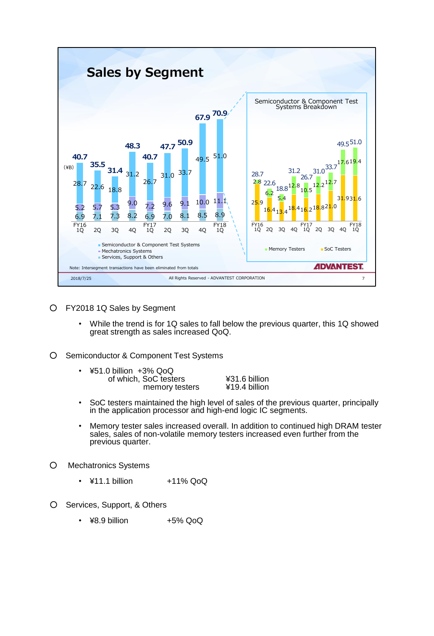

- FY2018 1Q Sales by Segment
	- While the trend is for 1Q sales to fall below the previous quarter, this 1Q showed great strength as sales increased QoQ.
- Semiconductor & Component Test Systems

| $\bullet$ | ¥51.0 billion +3% QoQ |               |
|-----------|-----------------------|---------------|
|           | of which, SoC testers | ¥31.6 billion |
|           | memory testers        | ¥19.4 billion |

- SoC testers maintained the high level of sales of the previous quarter, principally in the application processor and high-end logic IC segments.
- Memory tester sales increased overall. In addition to continued high DRAM tester sales, sales of non-volatile memory testers increased even further from the previous quarter.
- Mechatronics Systems
	- ¥11.1 billion +11% QoQ
- O Services, Support, & Others
	- $\cdot$  ¥8.9 billion  $+5\%$  QoQ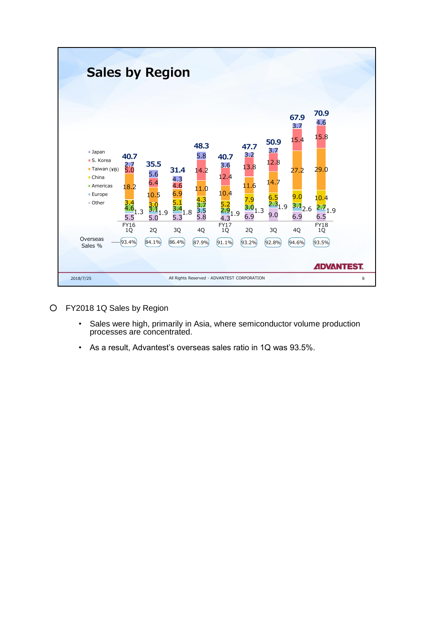

- FY2018 1Q Sales by Region
	- Sales were high, primarily in Asia, where semiconductor volume production processes are concentrated.
	- As a result, Advantest's overseas sales ratio in 1Q was 93.5%.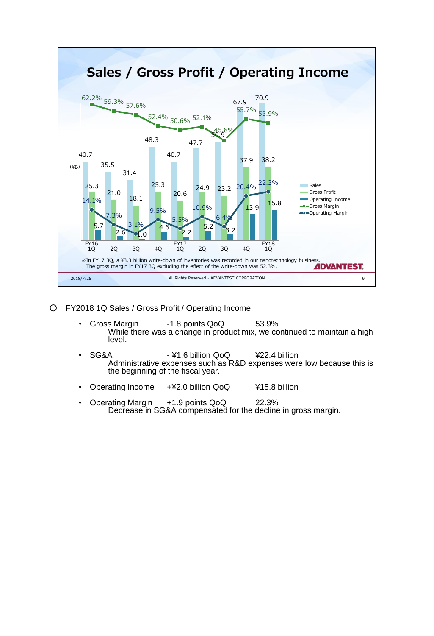

- FY2018 1Q Sales / Gross Profit / Operating Income
	- Gross Margin -1.8 points QoQ 53.9% While there was a change in product mix, we continued to maintain a high level.
	- SG&A ¥1.6 billion QoQ ¥22.4 billion Administrative expenses such as R&D expenses were low because this is the beginning of the fiscal year.
	- Operating Income +¥2.0 billion QoQ ¥15.8 billion
	- Operating Margin  $+1.9$  points QoQ 22.3% Decrease in SG&A compensated for the decline in gross margin.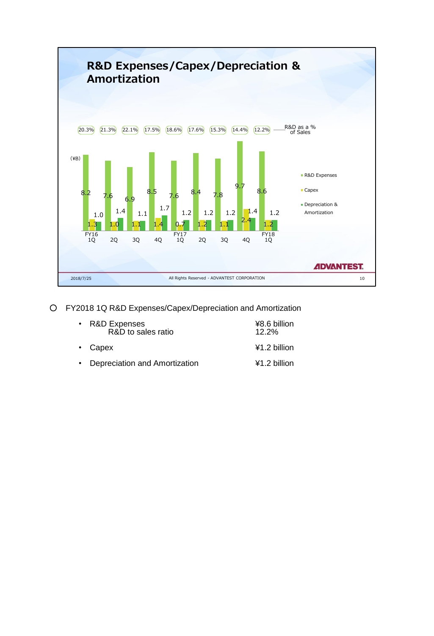

○ FY2018 1Q R&D Expenses/Capex/Depreciation and Amortization

| • R&D Expenses<br>R&D to sales ratio | ¥8.6 billion<br>12.2% |
|--------------------------------------|-----------------------|
| $\cdot$ Capex                        | $41.2$ billion        |
| • Depreciation and Amortization      | $41.2$ billion        |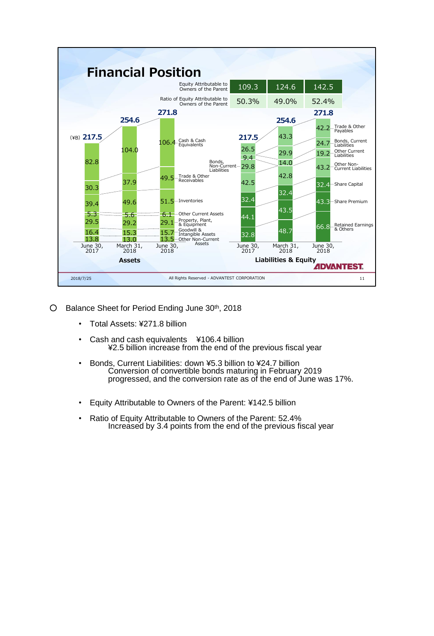

- O Balance Sheet for Period Ending June 30<sup>th</sup>, 2018
	- Total Assets: ¥271.8 billion
	- Cash and cash equivalents ¥106.4 billion ¥2.5 billion increase from the end of the previous fiscal year
	- Bonds, Current Liabilities: down ¥5.3 billion to ¥24.7 billion Conversion of convertible bonds maturing in February 2019 progressed, and the conversion rate as of the end of June was 17%.
	- Equity Attributable to Owners of the Parent: ¥142.5 billion
	- Ratio of Equity Attributable to Owners of the Parent: 52.4% Increased by 3.4 points from the end of the previous fiscal year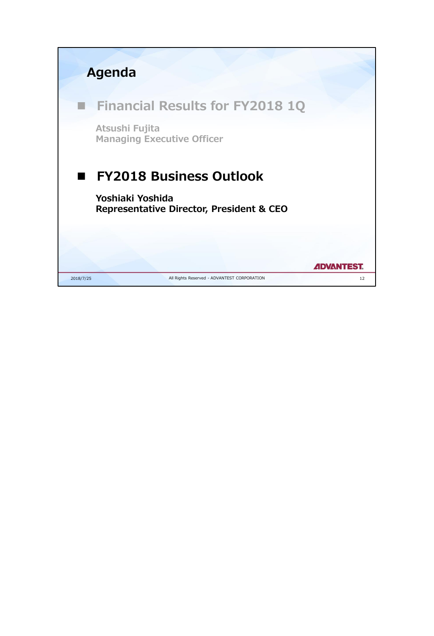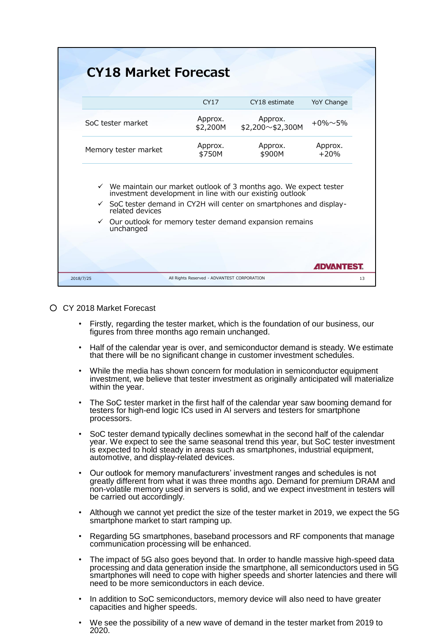| <b>CY18 Market Forecast</b>                                                                                                                                                                                                      |                                             |                                   |                         |
|----------------------------------------------------------------------------------------------------------------------------------------------------------------------------------------------------------------------------------|---------------------------------------------|-----------------------------------|-------------------------|
|                                                                                                                                                                                                                                  | CY17                                        | CY18 estimate                     | YoY Change              |
| SoC tester market                                                                                                                                                                                                                | Approx.<br>\$2,200M                         | Approx.<br>$$2,200 \sim $2,300$ M | $+0\% \sim 5\%$         |
| Memory tester market                                                                                                                                                                                                             | Approx.<br>\$750M                           | Approx.<br>\$900M                 | Approx.<br>$+20%$       |
| $\checkmark$ We maintain our market outlook of 3 months ago. We expect tester investment development in line with our existing outlook<br>✓ SoC tester demand in CY2H will center on smartphones and display-<br>related devices |                                             |                                   |                         |
| $\checkmark$ Our outlook for memory tester demand expansion remains<br>unchanged                                                                                                                                                 |                                             |                                   |                         |
|                                                                                                                                                                                                                                  |                                             |                                   |                         |
|                                                                                                                                                                                                                                  |                                             |                                   | <b><i>ADVANTEST</i></b> |
| 2018/7/25                                                                                                                                                                                                                        | All Rights Reserved - ADVANTEST CORPORATION |                                   |                         |

## ○ CY 2018 Market Forecast

- Firstly, regarding the tester market, which is the foundation of our business, our figures from three months ago remain unchanged.
- Half of the calendar year is over, and semiconductor demand is steady. We estimate that there will be no significant change in customer investment schedules.
- While the media has shown concern for modulation in semiconductor equipment investment, we believe that tester investment as originally anticipated will materialize within the year.
- The SoC tester market in the first half of the calendar year saw booming demand for testers for high-end logic ICs used in AI servers and testers for smartphone processors.
- SoC tester demand typically declines somewhat in the second half of the calendar year. We expect to see the same seasonal trend this year, but SoC tester investment is expected to hold steady in areas such as smartphones, industrial equipment, automotive, and display-related devices.
- Our outlook for memory manufacturers' investment ranges and schedules is not greatly different from what it was three months ago. Demand for premium DRAM and non-volatile memory used in servers is solid, and we expect investment in testers will be carried out accordingly.
- Although we cannot yet predict the size of the tester market in 2019, we expect the 5G smartphone market to start ramping up.
- Regarding 5G smartphones, baseband processors and RF components that manage communication processing will be enhanced.
- The impact of 5G also goes beyond that. In order to handle massive high-speed data processing and data generation inside the smartphone, all semiconductors used in 5G smartphones will need to cope with higher speeds and shorter latencies and there will need to be more semiconductors in each device.
- In addition to SoC semiconductors, memory device will also need to have greater capacities and higher speeds.
- We see the possibility of a new wave of demand in the tester market from 2019 to 2020.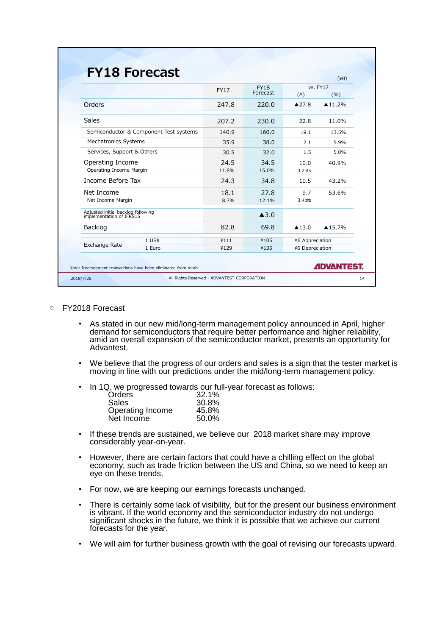|                                                                  | <b>FY17</b>   | <b>FY18</b>          | vs. FY17              |                    |
|------------------------------------------------------------------|---------------|----------------------|-----------------------|--------------------|
|                                                                  |               | Forecast             | $(\Delta)$            | (%)                |
| Orders                                                           | 247.8         | 220.0                | $\triangle$ 27.8      | $\triangle 11.2\%$ |
| <b>Sales</b>                                                     | 207.2         | 230.0                | 22.8                  | 11.0%              |
| Semiconductor & Component Test systems                           | 140.9         | 160.0                | 19.1                  | 13.5%              |
| Mechatronics Systems                                             | 35.9          | 38.0                 | 2.1                   | 5.9%               |
| Services, Support & Others                                       | 30.5          | 32.0                 | 1.5                   | 5.0%               |
| Operating Income<br>Operating Income Margin                      | 24.5<br>11.8% | 34.5<br>15.0%        | 10.0<br>3.2pts        | 40.9%              |
| Income Before Tax                                                | 24.3          | 34.8                 | 10.5                  | 43.2%              |
| Net Income<br>Net Income Margin                                  | 18.1<br>8.7%  | 27.8<br>12.1%        | 9.7<br>3.4pts         | 53.6%              |
| Adjusted initial backlog following<br>implementation of IFRS15   |               | $\blacktriangle$ 3.0 |                       |                    |
| Backlog                                                          | 82.8          | 69.8                 | $\blacktriangle$ 13.0 | ▲15.7%             |
| 1 US\$                                                           | ¥111          | ¥105                 | ¥6 Appreciation       |                    |
| Exchange Rate<br>1 Euro                                          | ¥129          | ¥135                 | ¥6 Depreciation       |                    |
| Note: Intersegment transactions have been eliminated from totals |               |                      |                       | <b>ADVANTEST.</b>  |

- FY2018 Forecast
	- As stated in our new mid/long-term management policy announced in April, higher demand for semiconductors that require better performance and higher reliability, amid an overall expansion of the semiconductor market, presents an opportunity for Advantest.
	- We believe that the progress of our orders and sales is a sign that the tester market is moving in line with our predictions under the mid/long-term management policy.
	- In 1Q, we progressed towards our full-year forecast as follows:

| 32.1% |
|-------|
| 30.8% |
| 45.8% |
| 50.0% |
|       |

- If these trends are sustained, we believe our 2018 market share may improve considerably year-on-year.
- However, there are certain factors that could have a chilling effect on the global economy, such as trade friction between the US and China, so we need to keep an eye on these trends.
- For now, we are keeping our earnings forecasts unchanged.
- There is certainly some lack of visibility, but for the present our business environment is vibrant. If the world economy and the semiconductor industry do not undergo significant shocks in the future, we think it is possible that we achieve our current forecasts for the year.
- We will aim for further business growth with the goal of revising our forecasts upward.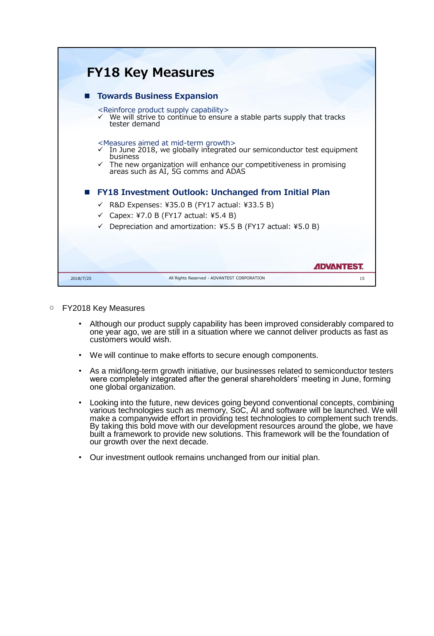| <b>FY18 Key Measures</b>                                                                                                                                                                                                                                                               |       |
|----------------------------------------------------------------------------------------------------------------------------------------------------------------------------------------------------------------------------------------------------------------------------------------|-------|
| <b>Towards Business Expansion</b>                                                                                                                                                                                                                                                      |       |
| <reinforce capability="" product="" supply=""><br/><math>\checkmark</math> We will strive to continue to ensure a stable parts supply that tracks<br/>tester demand</reinforce>                                                                                                        |       |
| <measures aimed="" at="" growth="" mid-term=""><br/>✓ In June 2018, we globally integrated our semiconductor test equipment<br/>business<br/><math>\checkmark</math> The new organization will enhance our competitiveness in promising areas such as AI, 5G comms and ADAS</measures> |       |
| <b>FY18 Investment Outlook: Unchanged from Initial Plan</b><br>R&D Expenses: ¥35.0 B (FY17 actual: ¥33.5 B)<br>✓<br>$\checkmark$ Capex: ¥7.0 B (FY17 actual: ¥5.4 B)<br>$\checkmark$ Depreciation and amortization: ¥5.5 B (FY17 actual: ¥5.0 B)                                       |       |
|                                                                                                                                                                                                                                                                                        | ADVAN |
| All Rights Reserved - ADVANTEST CORPORATION<br>2018/7/25                                                                                                                                                                                                                               | 15    |

- FY2018 Key Measures
	- Although our product supply capability has been improved considerably compared to one year ago, we are still in a situation where we cannot deliver products as fast as customers would wish.
	- We will continue to make efforts to secure enough components.
	- As a mid/long-term growth initiative, our businesses related to semiconductor testers were completely integrated after the general shareholders' meeting in June, forming one global organization.
	- Looking into the future, new devices going beyond conventional concepts, combining various technologies such as memory, SoC, AI and software will be launched. We will make a companywide effort in providing test technologies to complement such trends. By taking this bold move with our development resources around the globe, we have built a framework to provide new solutions. This framework will be the foundation of our growth over the next decade.
	- Our investment outlook remains unchanged from our initial plan.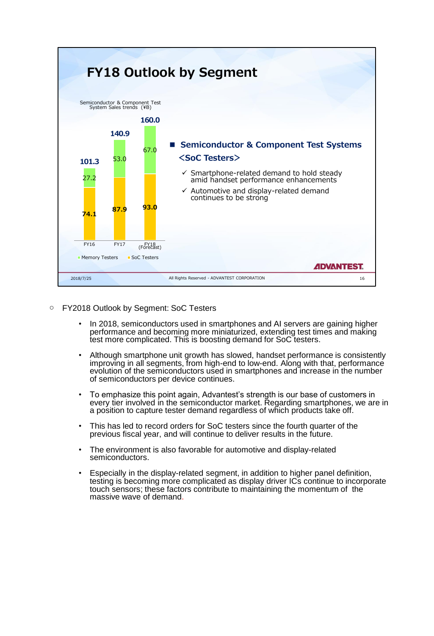

- FY2018 Outlook by Segment: SoC Testers
	- In 2018, semiconductors used in smartphones and AI servers are gaining higher performance and becoming more miniaturized, extending test times and making test more complicated. This is boosting demand for SoC testers.
	- Although smartphone unit growth has slowed, handset performance is consistently improving in all segments, from high-end to low-end. Along with that, performance evolution of the semiconductors used in smartphones and increase in the number of semiconductors per device continues.
	- To emphasize this point again, Advantest's strength is our base of customers in every tier involved in the semiconductor market. Regarding smartphones, we are in a position to capture tester demand regardless of which products take off.
	- This has led to record orders for SoC testers since the fourth quarter of the previous fiscal year, and will continue to deliver results in the future.
	- The environment is also favorable for automotive and display-related semiconductors.
	- Especially in the display-related segment, in addition to higher panel definition, testing is becoming more complicated as display driver ICs continue to incorporate touch sensors; these factors contribute to maintaining the momentum of the massive wave of demand.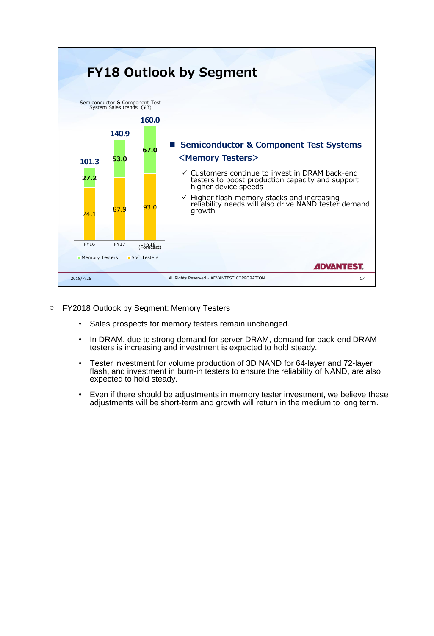

- FY2018 Outlook by Segment: Memory Testers
	- Sales prospects for memory testers remain unchanged.
	- In DRAM, due to strong demand for server DRAM, demand for back-end DRAM testers is increasing and investment is expected to hold steady.
	- Tester investment for volume production of 3D NAND for 64-layer and 72-layer flash, and investment in burn-in testers to ensure the reliability of NAND, are also expected to hold steady.
	- Even if there should be adjustments in memory tester investment, we believe these adjustments will be short-term and growth will return in the medium to long term.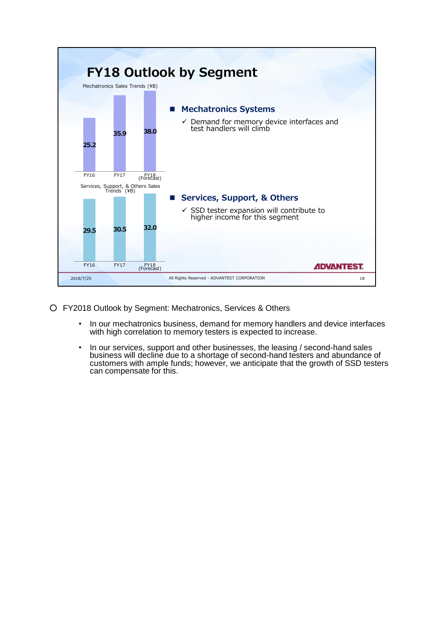

- FY2018 Outlook by Segment: Mechatronics, Services & Others
	- In our mechatronics business, demand for memory handlers and device interfaces with high correlation to memory testers is expected to increase.
	- In our services, support and other businesses, the leasing / second-hand sales business will decline due to a shortage of second-hand testers and abundance of customers with ample funds; however, we anticipate that the growth of SSD testers can compensate for this.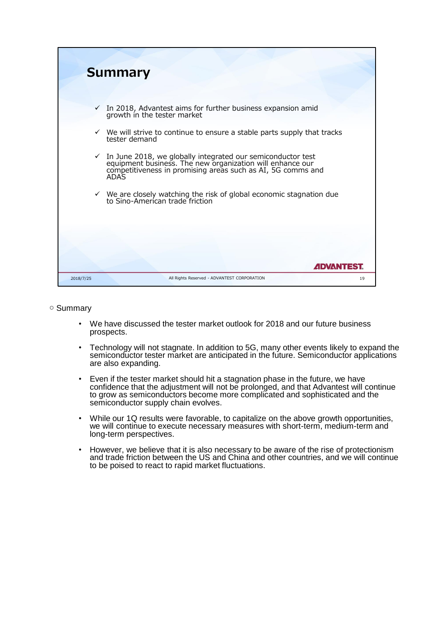|           | <b>Summary</b>                                                                                                                                                                                                |
|-----------|---------------------------------------------------------------------------------------------------------------------------------------------------------------------------------------------------------------|
|           | $\checkmark$ In 2018, Advantest aims for further business expansion amid growth in the tester market                                                                                                          |
|           | $\checkmark$ We will strive to continue to ensure a stable parts supply that tracks<br>tester demand                                                                                                          |
|           | $\checkmark$ In June 2018, we globally integrated our semiconductor test equipment business. The new organization will enhance our competitiveness in promising areas such as AI, 5G comms and<br><b>ADAS</b> |
|           | $\checkmark$ We are closely watching the risk of global economic stagnation due<br>to Sino-American trade friction                                                                                            |
|           |                                                                                                                                                                                                               |
|           | <i><b>ADVANTEST</b></i>                                                                                                                                                                                       |
| 2018/7/25 | All Rights Reserved - ADVANTEST CORPORATION<br>19                                                                                                                                                             |

## ○ Summary

- We have discussed the tester market outlook for 2018 and our future business prospects.
- Technology will not stagnate. In addition to 5G, many other events likely to expand the semiconductor tester market are anticipated in the future. Semiconductor applications are also expanding.
- Even if the tester market should hit a stagnation phase in the future, we have confidence that the adjustment will not be prolonged, and that Advantest will continue to grow as semiconductors become more complicated and sophisticated and the semiconductor supply chain evolves.
- While our 1Q results were favorable, to capitalize on the above growth opportunities, we will continue to execute necessary measures with short-term, medium-term and long-term perspectives.
- However, we believe that it is also necessary to be aware of the rise of protectionism and trade friction between the US and China and other countries, and we will continue to be poised to react to rapid market fluctuations.